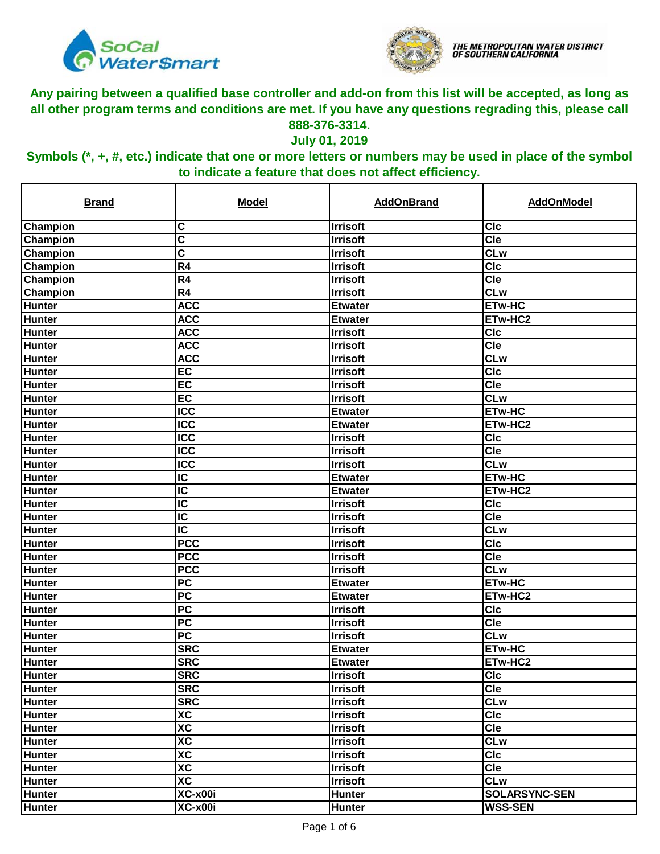



#### **July 01, 2019**

| <b>Brand</b>  | <b>Model</b>             | <b>AddOnBrand</b> | <b>AddOnModel</b>       |
|---------------|--------------------------|-------------------|-------------------------|
| Champion      | C                        | <b>Irrisoft</b>   | <b>CIc</b>              |
| Champion      | C                        | <b>Irrisoft</b>   | <b>Cle</b>              |
| Champion      | C                        | <b>Irrisoft</b>   | <b>CLw</b>              |
| Champion      | R <sub>4</sub>           | <b>Irrisoft</b>   | <b>CIc</b>              |
| Champion      | R <sub>4</sub>           | <b>Irrisoft</b>   | Cie                     |
| Champion      | $\overline{R4}$          | <b>Irrisoft</b>   | <b>CLw</b>              |
| Hunter        | <b>ACC</b>               | <b>Etwater</b>    | ETw-HC                  |
| Hunter        | <b>ACC</b>               | <b>Etwater</b>    | ETw-HC2                 |
| <b>Hunter</b> | <b>ACC</b>               | <b>Irrisoft</b>   | <b>CIC</b>              |
| <b>Hunter</b> | <b>ACC</b>               | <b>Irrisoft</b>   | $\overline{\text{Cle}}$ |
| <b>Hunter</b> | <b>ACC</b>               | <b>Irrisoft</b>   | CLw                     |
| Hunter        | EC                       | <b>Irrisoft</b>   | CIc                     |
| <b>Hunter</b> | $E$ C                    | <b>Irrisoft</b>   | Cle                     |
| <b>Hunter</b> | EC                       | <b>Irrisoft</b>   | <b>CLw</b>              |
| <b>Hunter</b> | $\overline{ICC}$         | <b>Etwater</b>    | <b>ETw-HC</b>           |
| <b>Hunter</b> | <b>ICC</b>               | <b>Etwater</b>    | ETw-HC2                 |
| <b>Hunter</b> | $\overline{ICC}$         | <b>Irrisoft</b>   | <b>CIc</b>              |
| <b>Hunter</b> | <b>ICC</b>               | <b>Irrisoft</b>   | <b>Cle</b>              |
| <b>Hunter</b> | $\overline{ICC}$         | <b>Irrisoft</b>   | <b>CLw</b>              |
| <b>Hunter</b> | $\overline{\mathsf{IC}}$ | <b>Etwater</b>    | <b>ETw-HC</b>           |
| <b>Hunter</b> | $\overline{\text{IC}}$   | <b>Etwater</b>    | ETw-HC2                 |
| <b>Hunter</b> | $\overline{\text{IC}}$   | <b>Irrisoft</b>   | <b>CIc</b>              |
| <b>Hunter</b> | $\overline{\text{IC}}$   | <b>Irrisoft</b>   | Cle                     |
| <b>Hunter</b> | $\overline{\mathsf{IC}}$ | <b>Irrisoft</b>   | <b>CLw</b>              |
| <b>Hunter</b> | <b>PCC</b>               | <b>Irrisoft</b>   | <b>CIC</b>              |
| <b>Hunter</b> | <b>PCC</b>               | <b>Irrisoft</b>   | <b>Cle</b>              |
| <b>Hunter</b> | <b>PCC</b>               | <b>Irrisoft</b>   | <b>CLw</b>              |
| Hunter        | $\overline{PC}$          | <b>Etwater</b>    | <b>ETw-HC</b>           |
| <b>Hunter</b> | $\overline{PC}$          | <b>Etwater</b>    | ETw-HC2                 |
| <b>Hunter</b> | <b>PC</b>                | <b>Irrisoft</b>   | <b>CIc</b>              |
| Hunter        | $\overline{PC}$          | <b>Irrisoft</b>   | Cie                     |
| <b>Hunter</b> | PC                       | <b>Irrisoft</b>   | <b>CLw</b>              |
| <b>Hunter</b> | <b>SRC</b>               | <b>Etwater</b>    | ETw-HC                  |
| Hunter        | <b>SRC</b>               | <b>Etwater</b>    | ETw-HC2                 |
| <b>Hunter</b> | <b>SRC</b>               | <b>Irrisoft</b>   | <b>CIc</b>              |
| Hunter        | <b>SRC</b>               | <b>Irrisoft</b>   | Cle                     |
| <b>Hunter</b> | <b>SRC</b>               | <b>Irrisoft</b>   | <b>CLw</b>              |
| <b>Hunter</b> | <b>XC</b>                | <b>Irrisoft</b>   | <b>CIc</b>              |
| <b>Hunter</b> | $\overline{AC}$          | <b>Irrisoft</b>   | Cle                     |
| Hunter        | $\overline{AC}$          | <b>Irrisoft</b>   | <b>CLw</b>              |
| <b>Hunter</b> | XC                       | <b>Irrisoft</b>   | <b>CIc</b>              |
| Hunter        | <b>XC</b>                | <b>Irrisoft</b>   | <b>Cle</b>              |
| <b>Hunter</b> | $\overline{AC}$          | <b>Irrisoft</b>   | <b>CLw</b>              |
| Hunter        | XC-x00i                  | <b>Hunter</b>     | <b>SOLARSYNC-SEN</b>    |
| <b>Hunter</b> | XC-x00i                  | <b>Hunter</b>     | <b>WSS-SEN</b>          |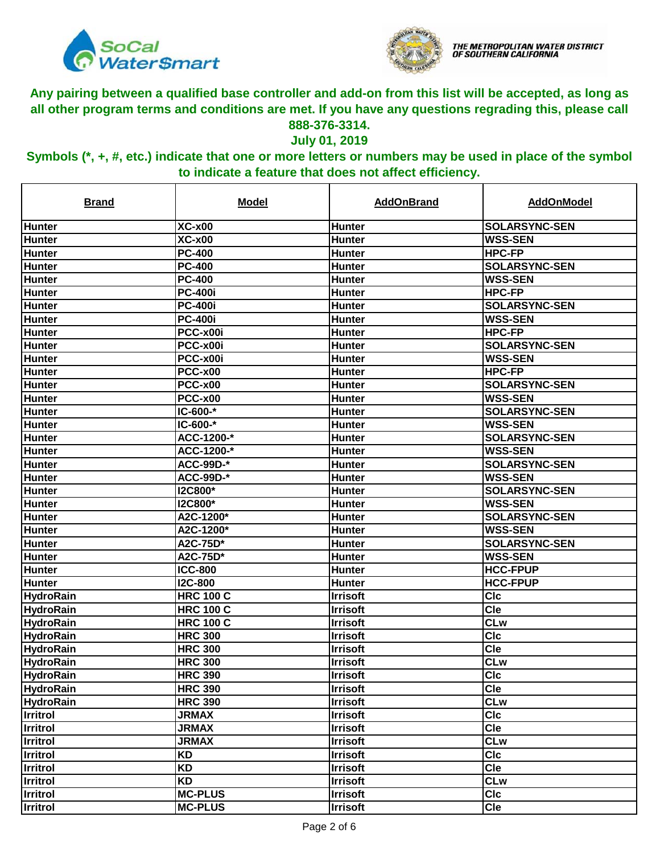



#### **July 01, 2019**

| <b>Brand</b>     | <b>Model</b>     | <b>AddOnBrand</b> | <b>AddOnModel</b>    |
|------------------|------------------|-------------------|----------------------|
| Hunter           | $XC-x00$         | <b>Hunter</b>     | <b>SOLARSYNC-SEN</b> |
| <b>Hunter</b>    | <b>XC-x00</b>    | Hunter            | <b>WSS-SEN</b>       |
| Hunter           | <b>PC-400</b>    | <b>Hunter</b>     | <b>HPC-FP</b>        |
| <b>Hunter</b>    | <b>PC-400</b>    | Hunter            | <b>SOLARSYNC-SEN</b> |
| <b>Hunter</b>    | <b>PC-400</b>    | <b>Hunter</b>     | <b>WSS-SEN</b>       |
| Hunter           | <b>PC-400i</b>   | <b>Hunter</b>     | <b>HPC-FP</b>        |
| <b>Hunter</b>    | <b>PC-400i</b>   | Hunter            | <b>SOLARSYNC-SEN</b> |
| <b>Hunter</b>    | <b>PC-400i</b>   | Hunter            | <b>WSS-SEN</b>       |
| <b>Hunter</b>    | PCC-x00i         | Hunter            | <b>HPC-FP</b>        |
| <b>Hunter</b>    | PCC-x00i         | <b>Hunter</b>     | <b>SOLARSYNC-SEN</b> |
| <b>Hunter</b>    | PCC-x00i         | Hunter            | <b>WSS-SEN</b>       |
| <b>Hunter</b>    | <b>PCC-x00</b>   | <b>Hunter</b>     | <b>HPC-FP</b>        |
| <b>Hunter</b>    | PCC-x00          | <b>Hunter</b>     | <b>SOLARSYNC-SEN</b> |
| <b>Hunter</b>    | <b>PCC-x00</b>   | <b>Hunter</b>     | <b>WSS-SEN</b>       |
| <b>Hunter</b>    | $IC-600-*$       | <b>Hunter</b>     | <b>SOLARSYNC-SEN</b> |
| <b>Hunter</b>    | $IC-600-*$       | <b>Hunter</b>     | <b>WSS-SEN</b>       |
| <b>Hunter</b>    | ACC-1200-*       | <b>Hunter</b>     | <b>SOLARSYNC-SEN</b> |
| <b>Hunter</b>    | ACC-1200-*       | <b>Hunter</b>     | <b>WSS-SEN</b>       |
| <b>Hunter</b>    | <b>ACC-99D-*</b> | <b>Hunter</b>     | <b>SOLARSYNC-SEN</b> |
| <b>Hunter</b>    | <b>ACC-99D-*</b> | <b>Hunter</b>     | <b>WSS-SEN</b>       |
| <b>Hunter</b>    | <b>I2C800*</b>   | <b>Hunter</b>     | <b>SOLARSYNC-SEN</b> |
| <b>Hunter</b>    | <b>I2C800*</b>   | <b>Hunter</b>     | <b>WSS-SEN</b>       |
| <b>Hunter</b>    | A2C-1200*        | Hunter            | <b>SOLARSYNC-SEN</b> |
| <b>Hunter</b>    | A2C-1200*        | <b>Hunter</b>     | <b>WSS-SEN</b>       |
| <b>Hunter</b>    | A2C-75D*         | <b>Hunter</b>     | <b>SOLARSYNC-SEN</b> |
| Hunter           | A2C-75D*         | <b>Hunter</b>     | <b>WSS-SEN</b>       |
| <b>Hunter</b>    | <b>ICC-800</b>   | <b>Hunter</b>     | <b>HCC-FPUP</b>      |
| Hunter           | <b>I2C-800</b>   | <b>Hunter</b>     | <b>HCC-FPUP</b>      |
| <b>HydroRain</b> | <b>HRC 100 C</b> | <b>Irrisoft</b>   | <b>CIc</b>           |
| <b>HydroRain</b> | <b>HRC 100 C</b> | <b>Irrisoft</b>   | <b>Cle</b>           |
| <b>HydroRain</b> | <b>HRC 100 C</b> | <b>Irrisoft</b>   | <b>CLw</b>           |
| <b>HydroRain</b> | <b>HRC 300</b>   | <b>Irrisoft</b>   | <b>CIc</b>           |
| <b>HydroRain</b> | <b>HRC 300</b>   | <b>Irrisoft</b>   | Cle                  |
| <b>HydroRain</b> | <b>HRC 300</b>   | <b>Irrisoft</b>   | <b>CLw</b>           |
| <b>HydroRain</b> | <b>HRC 390</b>   | <b>Irrisoft</b>   | <b>CIc</b>           |
| <b>HydroRain</b> | <b>HRC 390</b>   | <b>Irrisoft</b>   | Cle                  |
| <b>HydroRain</b> | <b>HRC 390</b>   | <b>Irrisoft</b>   | <b>CLw</b>           |
| <b>Irritrol</b>  | <b>JRMAX</b>     | <b>Irrisoft</b>   | <b>CIc</b>           |
| Irritrol         | <b>JRMAX</b>     | <b>Irrisoft</b>   | <b>Cle</b>           |
| <b>Irritrol</b>  | <b>JRMAX</b>     | <b>Irrisoft</b>   | <b>CLw</b>           |
| Irritrol         | <b>KD</b>        | <b>Irrisoft</b>   | <b>CIc</b>           |
| Irritrol         | <b>KD</b>        | <b>Irrisoft</b>   | <b>Cle</b>           |
| Irritrol         | <b>KD</b>        | <b>Irrisoft</b>   | <b>CLw</b>           |
| <b>Irritrol</b>  | <b>MC-PLUS</b>   | <b>Irrisoft</b>   | <b>CIc</b>           |
| Irritrol         | <b>MC-PLUS</b>   | <b>Irrisoft</b>   | <b>Cle</b>           |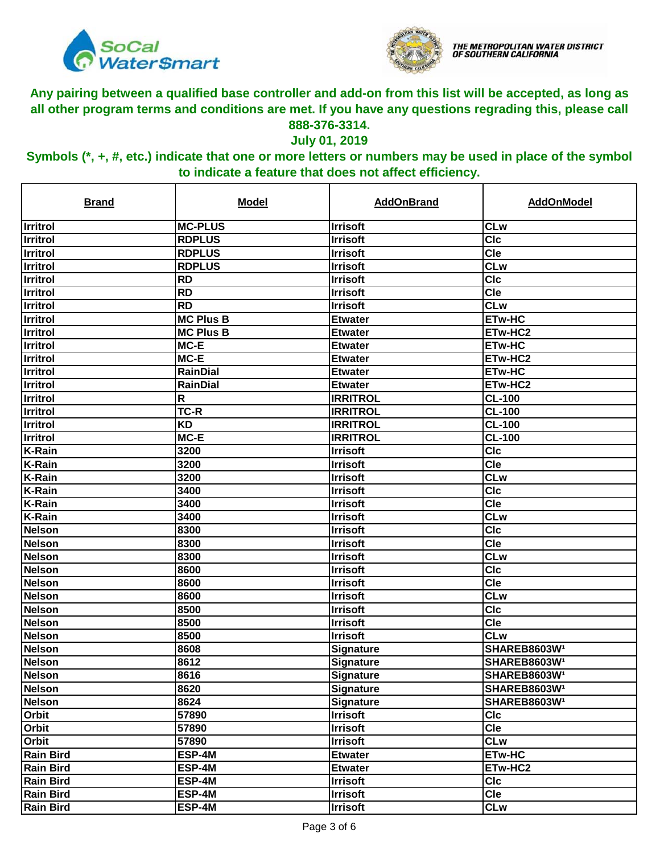



#### **July 01, 2019**

| <b>Brand</b>     | <b>Model</b>     | <b>AddOnBrand</b> | <b>AddOnModel</b>        |
|------------------|------------------|-------------------|--------------------------|
| <b>Irritrol</b>  | <b>MC-PLUS</b>   | <b>Irrisoft</b>   | <b>CLw</b>               |
| Irritrol         | <b>RDPLUS</b>    | <b>Irrisoft</b>   | <b>CIc</b>               |
| <b>Irritrol</b>  | <b>RDPLUS</b>    | <b>Irrisoft</b>   | Cle                      |
| <b>Irritrol</b>  | <b>RDPLUS</b>    | <b>Irrisoft</b>   | <b>CLw</b>               |
| <b>Irritrol</b>  | <b>RD</b>        | <b>Irrisoft</b>   | <b>CIC</b>               |
| Irritrol         | <b>RD</b>        | <b>Irrisoft</b>   | Cle                      |
| <b>Irritrol</b>  | <b>RD</b>        | <b>Irrisoft</b>   | <b>CLw</b>               |
| <b>Irritrol</b>  | <b>MC Plus B</b> | <b>Etwater</b>    | <b>ETw-HC</b>            |
| <b>Irritrol</b>  | <b>MC Plus B</b> | <b>Etwater</b>    | ETw-HC2                  |
| <b>Irritrol</b>  | MC-E             | <b>Etwater</b>    | <b>ETw-HC</b>            |
| <b>Irritrol</b>  | MC-E             | <b>Etwater</b>    | ETw-HC2                  |
| <b>Irritrol</b>  | <b>RainDial</b>  | <b>Etwater</b>    | <b>ETw-HC</b>            |
| <b>Irritrol</b>  | <b>RainDial</b>  | <b>Etwater</b>    | ETw-HC2                  |
| Irritrol         | R                | <b>IRRITROL</b>   | <b>CL-100</b>            |
| Irritrol         | TC-R             | <b>IRRITROL</b>   | <b>CL-100</b>            |
| Irritrol         | <b>KD</b>        | <b>IRRITROL</b>   | <b>CL-100</b>            |
| Irritrol         | $MC-E$           | <b>IRRITROL</b>   | <b>CL-100</b>            |
| <b>K-Rain</b>    | 3200             | <b>Irrisoft</b>   | <b>CIc</b>               |
| <b>K-Rain</b>    | 3200             | <b>Irrisoft</b>   | <b>Cle</b>               |
| <b>K-Rain</b>    | 3200             | <b>Irrisoft</b>   | <b>CLw</b>               |
| <b>K-Rain</b>    | 3400             | <b>Irrisoft</b>   | <b>CIc</b>               |
| <b>K-Rain</b>    | 3400             | <b>Irrisoft</b>   | <b>Cle</b>               |
| K-Rain           | 3400             | <b>Irrisoft</b>   | <b>CLw</b>               |
| <b>Nelson</b>    | 8300             | <b>Irrisoft</b>   | <b>CIc</b>               |
| <b>Nelson</b>    | 8300             | <b>Irrisoft</b>   | <b>Cle</b>               |
| Nelson           | 8300             | <b>Irrisoft</b>   | <b>CLw</b>               |
| <b>Nelson</b>    | 8600             | <b>Irrisoft</b>   | <b>CIc</b>               |
| Nelson           | 8600             | <b>Irrisoft</b>   | <b>Cle</b>               |
| <b>Nelson</b>    | 8600             | <b>Irrisoft</b>   | <b>CLw</b>               |
| <b>Nelson</b>    | 8500             | <b>Irrisoft</b>   | <b>CIc</b>               |
| <b>Nelson</b>    | 8500             | <b>Irrisoft</b>   | Cle                      |
| Nelson           | 8500             | <b>Irrisoft</b>   | <b>CLw</b>               |
| <b>Nelson</b>    | 8608             | <b>Signature</b>  | SHAREB8603W <sup>1</sup> |
| Nelson           | 8612             | Signature         | SHAREB8603W <sup>1</sup> |
| <b>Nelson</b>    | 8616             | <b>Signature</b>  | <b>SHAREB8603W1</b>      |
| <b>Nelson</b>    | 8620             | Signature         | SHAREB8603W <sup>1</sup> |
| <b>Nelson</b>    | 8624             | <b>Signature</b>  | SHAREB8603W <sup>1</sup> |
| Orbit            | 57890            | <b>Irrisoft</b>   | <b>CIc</b>               |
| Orbit            | 57890            | <b>Irrisoft</b>   | <b>Cle</b>               |
| Orbit            | 57890            | <b>Irrisoft</b>   | <b>CLw</b>               |
| <b>Rain Bird</b> | ESP-4M           | <b>Etwater</b>    | <b>ETw-HC</b>            |
| <b>Rain Bird</b> | ESP-4M           | <b>Etwater</b>    | ETw-HC2                  |
| <b>Rain Bird</b> | ESP-4M           | <b>Irrisoft</b>   | <b>CIc</b>               |
| <b>Rain Bird</b> | ESP-4M           | <b>Irrisoft</b>   | <b>Cle</b>               |
| <b>Rain Bird</b> | ESP-4M           | <b>Irrisoft</b>   | <b>CLw</b>               |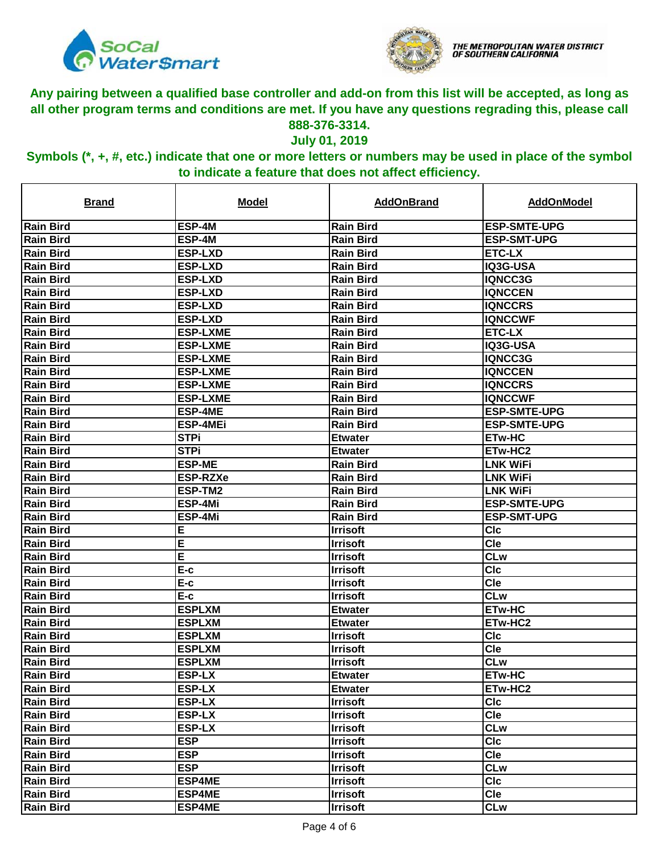



#### **July 01, 2019**

| <u>Brand</u>     | <b>Model</b>    | <b>AddOnBrand</b> | AddOnModel          |
|------------------|-----------------|-------------------|---------------------|
| <b>Rain Bird</b> | ESP-4M          | <b>Rain Bird</b>  | <b>ESP-SMTE-UPG</b> |
| <b>Rain Bird</b> | ESP-4M          | <b>Rain Bird</b>  | <b>ESP-SMT-UPG</b>  |
| <b>Rain Bird</b> | <b>ESP-LXD</b>  | <b>Rain Bird</b>  | <b>ETC-LX</b>       |
| <b>Rain Bird</b> | <b>ESP-LXD</b>  | <b>Rain Bird</b>  | IIQ3G-USA           |
| <b>Rain Bird</b> | <b>ESP-LXD</b>  | <b>Rain Bird</b>  | IQNCC3G             |
| <b>Rain Bird</b> | <b>ESP-LXD</b>  | <b>Rain Bird</b>  | <b>IQNCCEN</b>      |
| <b>Rain Bird</b> | <b>ESP-LXD</b>  | <b>Rain Bird</b>  | <b>IQNCCRS</b>      |
| <b>Rain Bird</b> | <b>ESP-LXD</b>  | <b>Rain Bird</b>  | <b>IQNCCWF</b>      |
| <b>Rain Bird</b> | <b>ESP-LXME</b> | <b>Rain Bird</b>  | <b>ETC-LX</b>       |
| <b>Rain Bird</b> | <b>ESP-LXME</b> | <b>Rain Bird</b>  | IQ3G-USA            |
| <b>Rain Bird</b> | <b>ESP-LXME</b> | <b>Rain Bird</b>  | <b>IQNCC3G</b>      |
| <b>Rain Bird</b> | <b>ESP-LXME</b> | <b>Rain Bird</b>  | <b>IQNCCEN</b>      |
| <b>Rain Bird</b> | <b>ESP-LXME</b> | <b>Rain Bird</b>  | <b>IQNCCRS</b>      |
| <b>Rain Bird</b> | <b>ESP-LXME</b> | <b>Rain Bird</b>  | <b>IQNCCWF</b>      |
| <b>Rain Bird</b> | <b>ESP-4ME</b>  | <b>Rain Bird</b>  | <b>ESP-SMTE-UPG</b> |
| <b>Rain Bird</b> | <b>ESP-4MEi</b> | <b>Rain Bird</b>  | <b>ESP-SMTE-UPG</b> |
| <b>Rain Bird</b> | <b>STPi</b>     | <b>Etwater</b>    | <b>ETw-HC</b>       |
| <b>Rain Bird</b> | <b>STPi</b>     | <b>Etwater</b>    | <b>ETw-HC2</b>      |
| <b>Rain Bird</b> | <b>ESP-ME</b>   | <b>Rain Bird</b>  | ILNK WiFi           |
| <b>Rain Bird</b> | <b>ESP-RZXe</b> | <b>Rain Bird</b>  | <b>LNK WiFi</b>     |
| <b>Rain Bird</b> | ESP-TM2         | <b>Rain Bird</b>  | <b>LNK WiFi</b>     |
| <b>Rain Bird</b> | ESP-4Mi         | <b>Rain Bird</b>  | <b>ESP-SMTE-UPG</b> |
| <b>Rain Bird</b> | ESP-4Mi         | <b>Rain Bird</b>  | <b>ESP-SMT-UPG</b>  |
| <b>Rain Bird</b> | Ε               | <b>Irrisoft</b>   | <b>CIc</b>          |
| <b>Rain Bird</b> | Ε               | <b>Irrisoft</b>   | Cle                 |
| <b>Rain Bird</b> | Е               | <b>Irrisoft</b>   | <b>CLw</b>          |
| <b>Rain Bird</b> | E-c             | <b>Irrisoft</b>   | <b>CIc</b>          |
| <b>Rain Bird</b> | E-c             | <b>Irrisoft</b>   | Cle                 |
| <b>Rain Bird</b> | E-c             | <b>Irrisoft</b>   | <b>CLw</b>          |
| <b>Rain Bird</b> | <b>ESPLXM</b>   | <b>Etwater</b>    | <b>ETw-HC</b>       |
| <b>Rain Bird</b> | <b>ESPLXM</b>   | <b>Etwater</b>    | ETw-HC2             |
| <b>Rain Bird</b> | <b>ESPLXM</b>   | <b>Irrisoft</b>   | <b>CIc</b>          |
| <b>Rain Bird</b> | <b>ESPLXM</b>   | <b>Irrisoft</b>   | <b>Cle</b>          |
| <b>Rain Bird</b> | <b>ESPLXM</b>   | <b>Irrisoft</b>   | <b>CLw</b>          |
| <b>Rain Bird</b> | <b>ESP-LX</b>   | <b>Etwater</b>    | <b>ETw-HC</b>       |
| <b>Rain Bird</b> | <b>ESP-LX</b>   | <b>Etwater</b>    | ETw-HC2             |
| <b>Rain Bird</b> | <b>ESP-LX</b>   | <b>Irrisoft</b>   | <b>CIc</b>          |
| <b>Rain Bird</b> | <b>ESP-LX</b>   | <b>Irrisoft</b>   | <b>Cle</b>          |
| <b>Rain Bird</b> | <b>ESP-LX</b>   | <b>Irrisoft</b>   | <b>CLw</b>          |
| <b>Rain Bird</b> | <b>ESP</b>      | <b>Irrisoft</b>   | <b>CIc</b>          |
| <b>Rain Bird</b> | <b>ESP</b>      | <b>Irrisoft</b>   | <b>Cle</b>          |
| <b>Rain Bird</b> | <b>ESP</b>      | <b>Irrisoft</b>   | <b>CLw</b>          |
| <b>Rain Bird</b> | <b>ESP4ME</b>   | <b>Irrisoft</b>   | <b>CIc</b>          |
| <b>Rain Bird</b> | <b>ESP4ME</b>   | <b>Irrisoft</b>   | <b>Cle</b>          |
| <b>Rain Bird</b> | <b>ESP4ME</b>   | <b>Irrisoft</b>   | <b>CLw</b>          |
|                  |                 |                   |                     |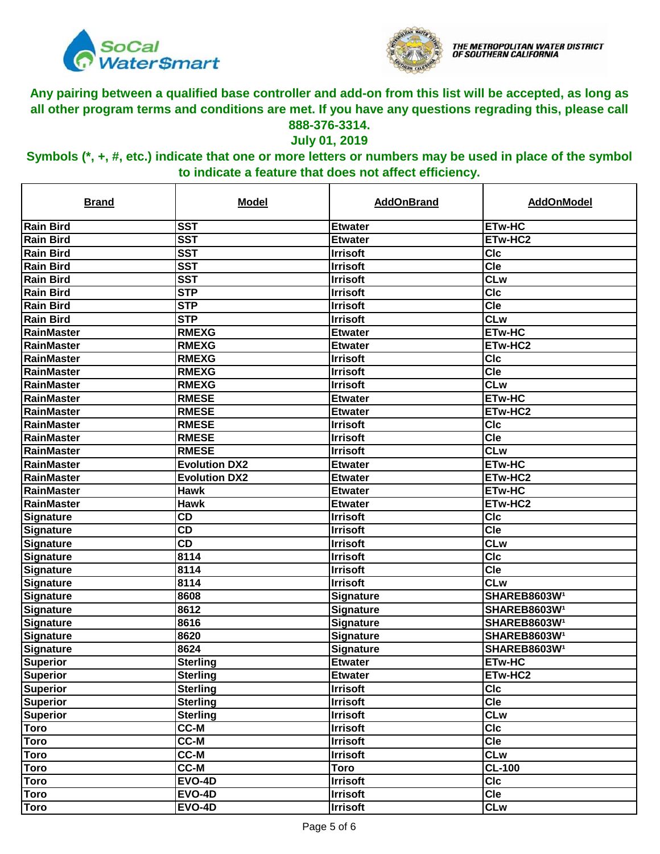



#### **July 01, 2019**

| <b>Brand</b>       | <b>Model</b>         | <b>AddOnBrand</b> | <b>AddOnModel</b>        |
|--------------------|----------------------|-------------------|--------------------------|
| <b>Rain Bird</b>   | <b>SST</b>           | <b>Etwater</b>    | <b>ETw-HC</b>            |
| Rain Bird          | <b>SST</b>           | <b>Etwater</b>    | ETw-HC2                  |
| <b>Rain Bird</b>   | <b>SST</b>           | <b>Irrisoft</b>   | <b>CIc</b>               |
| <b>Rain Bird</b>   | <b>SST</b>           | <b>Irrisoft</b>   | $\overline{C}$ le        |
| <b>Rain Bird</b>   | <b>SST</b>           | <b>Irrisoft</b>   | <b>CLw</b>               |
| <b>Rain Bird</b>   | <b>STP</b>           | <b>Irrisoft</b>   | $\overline{C}$           |
| <b>Rain Bird</b>   | <b>STP</b>           | <b>Irrisoft</b>   | $\overline{C}$ le        |
| <b>Rain Bird</b>   | <b>STP</b>           | <b>Irrisoft</b>   | <b>CLw</b>               |
| RainMaster         | <b>RMEXG</b>         | <b>Etwater</b>    | <b>ETw-HC</b>            |
| RainMaster         | <b>RMEXG</b>         | <b>Etwater</b>    | ETw-HC2                  |
| RainMaster         | <b>RMEXG</b>         | <b>Irrisoft</b>   | <b>CIc</b>               |
| RainMaster         | <b>RMEXG</b>         | <b>Irrisoft</b>   | <b>Cle</b>               |
| RainMaster         | <b>RMEXG</b>         | <b>Irrisoft</b>   | <b>CLw</b>               |
| RainMaster         | <b>RMESE</b>         | <b>Etwater</b>    | <b>ETw-HC</b>            |
| RainMaster         | <b>RMESE</b>         | <b>Etwater</b>    | ETw-HC2                  |
| RainMaster         | <b>RMESE</b>         | <b>Irrisoft</b>   | <b>CIc</b>               |
| RainMaster         | <b>RMESE</b>         | <b>Irrisoft</b>   | Cle                      |
| <b>IRainMaster</b> | <b>RMESE</b>         | <b>Irrisoft</b>   | <b>CLw</b>               |
| <b>IRainMaster</b> | <b>Evolution DX2</b> | <b>Etwater</b>    | <b>ETw-HC</b>            |
| RainMaster         | <b>Evolution DX2</b> | <b>Etwater</b>    | ETw-HC2                  |
| RainMaster         | <b>Hawk</b>          | <b>Etwater</b>    | <b>ETw-HC</b>            |
| RainMaster         | <b>Hawk</b>          | <b>Etwater</b>    | ETw-HC2                  |
| Signature          | <b>CD</b>            | <b>Irrisoft</b>   | <b>CIc</b>               |
| Signature          | <b>CD</b>            | <b>Irrisoft</b>   | <b>Cle</b>               |
| Signature          | <b>CD</b>            | <b>Irrisoft</b>   | <b>CLw</b>               |
| Signature          | 8114                 | <b>Irrisoft</b>   | <b>CIc</b>               |
| Signature          | 8114                 | <b>Irrisoft</b>   | Cle                      |
| Signature          | 8114                 | <b>Irrisoft</b>   | <b>CLw</b>               |
| Signature          | 8608                 | Signature         | SHAREB8603W <sup>1</sup> |
| Signature          | 8612                 | Signature         | SHAREB8603W1             |
| Signature          | 8616                 | Signature         | <b>SHAREB8603W1</b>      |
| Signature          | 8620                 | Signature         | <b>SHAREB8603W1</b>      |
| <b>Signature</b>   | 8624                 | <b>Signature</b>  | SHAREB8603W <sup>1</sup> |
| Superior           | <b>Sterling</b>      | <b>Etwater</b>    | <b>ETw-HC</b>            |
| Superior           | <b>Sterling</b>      | <b>Etwater</b>    | ETw-HC2                  |
| <b>Superior</b>    | <b>Sterling</b>      | <b>Irrisoft</b>   | <b>CIc</b>               |
| <b>Superior</b>    | <b>Sterling</b>      | <b>Irrisoft</b>   | <b>Cle</b>               |
| <b>Superior</b>    | <b>Sterling</b>      | <b>Irrisoft</b>   | <b>CLw</b>               |
| <b>Toro</b>        | CC-M                 | <b>Irrisoft</b>   | <b>CIc</b>               |
| <b>Toro</b>        | <b>CC-M</b>          | <b>Irrisoft</b>   | <b>Cle</b>               |
| <b>Toro</b>        | <b>CC-M</b>          | <b>Irrisoft</b>   | <b>CLw</b>               |
| <b>Toro</b>        | <b>CC-M</b>          | Toro              | <b>CL-100</b>            |
| <b>Toro</b>        | <b>EVO-4D</b>        | <b>Irrisoft</b>   | <b>CIc</b>               |
| <b>Toro</b>        | <b>EVO-4D</b>        | <b>Irrisoft</b>   | <b>Cle</b>               |
| <b>Toro</b>        | <b>EVO-4D</b>        | <b>Irrisoft</b>   | <b>CLw</b>               |